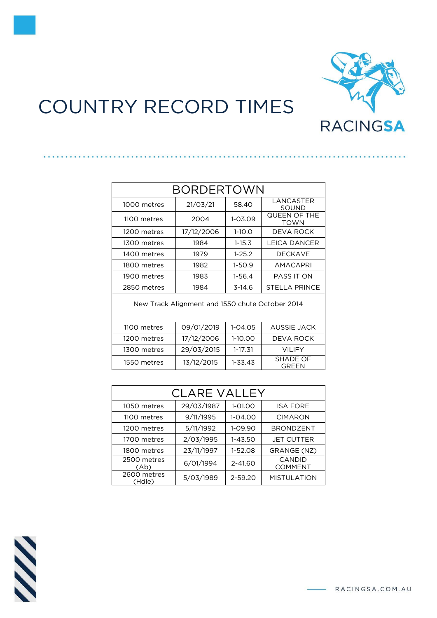

## COUNTRY RECORD TIMES

| BORDERTOWN                                      |            |             |                             |  |
|-------------------------------------------------|------------|-------------|-----------------------------|--|
| 1000 metres                                     | 21/03/21   | 58.40       | LANCASTER<br>SOUND          |  |
| 1100 metres                                     | 2004       | $1 - 03.09$ | QUEEN OF THE<br><b>TOWN</b> |  |
| 1200 metres                                     | 17/12/2006 | $1-10.0$    | DEVA ROCK                   |  |
| 1300 metres                                     | 1984       | $1 - 15.3$  | LEICA DANCER                |  |
| 1400 metres                                     | 1979       | $1 - 25.2$  | <b>DECKAVE</b>              |  |
| 1800 metres                                     | 1982       | $1-50.9$    | <b>AMACAPRI</b>             |  |
| 1900 metres                                     | 1983       | $1 - 56.4$  | PASS IT ON                  |  |
| 2850 metres                                     | 1984       | $3-14.6$    | STELLA PRINCE               |  |
| New Track Alignment and 1550 chute October 2014 |            |             |                             |  |
| 1100 metres                                     | 09/01/2019 | 1-04.05     | <b>AUSSIE JACK</b>          |  |
| 1200 metres                                     | 17/12/2006 | 1-10.00     | DEVA ROCK                   |  |
| 1300 metres                                     | 29/03/2015 | 1-17.31     | <b>VILIFY</b>               |  |
| 1550 metres                                     | 13/12/2015 | 1-33.43     | SHADE OF<br>GREEN           |  |

| <b>CLARE VALLEY</b>   |            |             |                          |
|-----------------------|------------|-------------|--------------------------|
| 1050 metres           | 29/03/1987 | $1 - 01.00$ | <b>ISA FORE</b>          |
| 1100 metres           | 9/11/1995  | $1 - 04.00$ | <b>CIMARON</b>           |
| 1200 metres           | 5/11/1992  | 1-09.90     | <b>BRONDZENT</b>         |
| 1700 metres           | 2/03/1995  | $1 - 43.50$ | <b>JET CUTTER</b>        |
| 1800 metres           | 23/11/1997 | $1-52.08$   | GRANGE (NZ)              |
| 2500 metres<br>(Ab)   | 6/01/1994  | $2 - 41.60$ | CANDID<br><b>COMMENT</b> |
| 2600 metres<br>(Hdle) | 5/03/1989  | 2-59.20     | <b>MISTULATION</b>       |

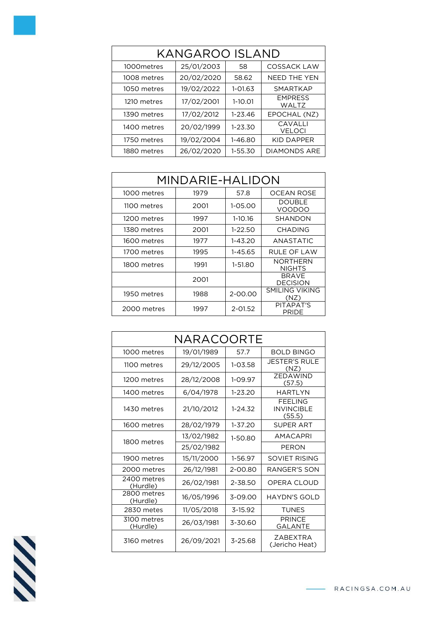| KANGAROO ISLAND |            |             |                                |  |
|-----------------|------------|-------------|--------------------------------|--|
| 1000 metres     | 25/01/2003 | 58          | <b>COSSACK LAW</b>             |  |
| 1008 metres     | 20/02/2020 | 58.62       | <b>NEED THE YEN</b>            |  |
| 1050 metres     | 19/02/2022 | 1-01.63     | <b>SMARTKAP</b>                |  |
| 1210 metres     | 17/02/2001 | $1-10.01$   | <b>EMPRESS</b><br><b>WALTZ</b> |  |
| 1390 metres     | 17/02/2012 | $1 - 23.46$ | EPOCHAL (NZ)                   |  |
| 1400 metres     | 20/02/1999 | $1 - 23.30$ | CAVALLI<br><b>VELOCI</b>       |  |
| 1750 metres     | 19/02/2004 | 1-46.80     | KID DAPPER                     |  |
| 1880 metres     | 26/02/2020 | $1 - 55.30$ | <b>DIAMONDS ARE</b>            |  |

| MINDARIE-HALIDON |      |             |                                  |
|------------------|------|-------------|----------------------------------|
| 1000 metres      | 1979 | 57.8        | OCEAN ROSE                       |
| 1100 metres      | 2001 | 1-05.00     | <b>DOUBLE</b><br>VOODOO          |
| 1200 metres      | 1997 | 1-10.16     | <b>SHANDON</b>                   |
| 1380 metres      | 2001 | $1 - 22.50$ | <b>CHADING</b>                   |
| 1600 metres      | 1977 | $1 - 43.20$ | <b>ANASTATIC</b>                 |
| 1700 metres      | 1995 | 1-45.65     | RULE OF LAW                      |
| 1800 metres      | 1991 | 1-51.80     | <b>NORTHERN</b><br><b>NIGHTS</b> |
|                  | 2001 |             | BRAVE<br><b>DECISION</b>         |
| 1950 metres      | 1988 | 2-00.00     | SMILING VIKING<br>(NZ)           |
| 2000 metres      | 1997 | $2 - 01.52$ | PITAPAT'S<br><b>PRIDE</b>        |

| NARACOORTE              |            |             |                                         |
|-------------------------|------------|-------------|-----------------------------------------|
| 1000 metres             | 19/01/1989 | 57.7        | <b>BOLD BINGO</b>                       |
| 1100 metres             | 29/12/2005 | 1-03.58     | <b>JESTER'S RULE</b><br>(NZ)            |
| 1200 metres             | 28/12/2008 | 1-09.97     | ZEDAWIND<br>(57.5)                      |
| 1400 metres             | 6/04/1978  | 1-23.20     | <b>HARTLYN</b>                          |
| 1430 metres             | 21/10/2012 | $1 - 24.32$ | FFFI ING<br><b>INVINCIBLE</b><br>(55.5) |
| 1600 metres             | 28/02/1979 | $1 - 37.20$ | <b>SUPFRART</b>                         |
| 1800 metres             | 13/02/1982 | 1-50.80     | AMACAPRI                                |
|                         | 25/02/1982 |             | <b>PERON</b>                            |
| 1900 metres             | 15/11/2000 | 1-56.97     | SOVIET RISING                           |
| 2000 metres             | 26/12/1981 | 2-00.80     | RANGER'S SON                            |
| 2400 metres<br>(Hurdle) | 26/02/1981 | 2-38.50     | OPERA CLOUD                             |
| 2800 metres<br>(Hurdle) | 16/05/1996 | 3-09.00     | <b>HAYDN'S GOLD</b>                     |
| 2830 metes              | 11/05/2018 | 3-15.92     | <b>TUNES</b>                            |
| 3100 metres<br>(Hurdle) | 26/03/1981 | 3-30.60     | <b>PRINCF</b><br>GALANTE                |
| 3160 metres             | 26/09/2021 | 3-25.68     | ZABEXTRA<br>(Jericho Heat)              |